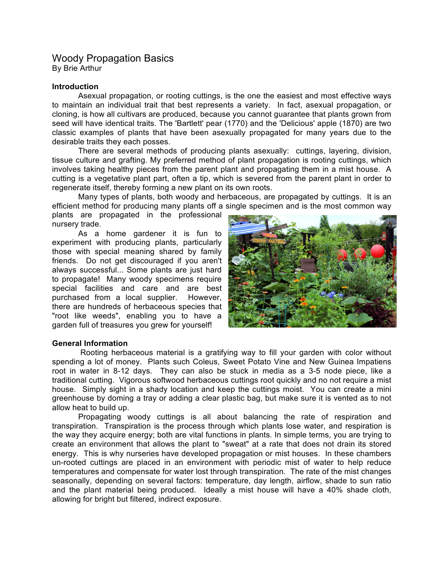# Woody Propagation Basics By Brie Arthur

### **Introduction**

Asexual propagation, or rooting cuttings, is the one the easiest and most effective ways to maintain an individual trait that best represents a variety. In fact, asexual propagation, or cloning, is how all cultivars are produced, because you cannot guarantee that plants grown from seed will have identical traits. The 'Bartlett' pear (1770) and the 'Delicious' apple (1870) are two classic examples of plants that have been asexually propagated for many years due to the desirable traits they each posses.

There are several methods of producing plants asexually: cuttings, layering, division, tissue culture and grafting. My preferred method of plant propagation is rooting cuttings, which involves taking healthy pieces from the parent plant and propagating them in a mist house. A cutting is a vegetative plant part, often a tip, which is severed from the parent plant in order to regenerate itself, thereby forming a new plant on its own roots.

Many types of plants, both woody and herbaceous, are propagated by cuttings. It is an efficient method for producing many plants off a single specimen and is the most common way

plants are propagated in the professional nursery trade.

As a home gardener it is fun to experiment with producing plants, particularly those with special meaning shared by family friends. Do not get discouraged if you aren't always successful... Some plants are just hard to propagate! Many woody specimens require special facilities and care and are best purchased from a local supplier. However, there are hundreds of herbaceous species that "root like weeds", enabling you to have a garden full of treasures you grew for yourself!



# **General Information**

Rooting herbaceous material is a gratifying way to fill your garden with color without spending a lot of money. Plants such Coleus, Sweet Potato Vine and New Guinea Impatiens root in water in 8-12 days. They can also be stuck in media as a 3-5 node piece, like a traditional cutting. Vigorous softwood herbaceous cuttings root quickly and no not require a mist house. Simply sight in a shady location and keep the cuttings moist. You can create a mini greenhouse by doming a tray or adding a clear plastic bag, but make sure it is vented as to not allow heat to build up.

Propagating woody cuttings is all about balancing the rate of respiration and transpiration. Transpiration is the process through which plants lose water, and respiration is the way they acquire energy; both are vital functions in plants. In simple terms, you are trying to create an environment that allows the plant to "sweat" at a rate that does not drain its stored energy. This is why nurseries have developed propagation or mist houses. In these chambers un-rooted cuttings are placed in an environment with periodic mist of water to help reduce temperatures and compensate for water lost through transpiration. The rate of the mist changes seasonally, depending on several factors: temperature, day length, airflow, shade to sun ratio and the plant material being produced. Ideally a mist house will have a 40% shade cloth, allowing for bright but filtered, indirect exposure.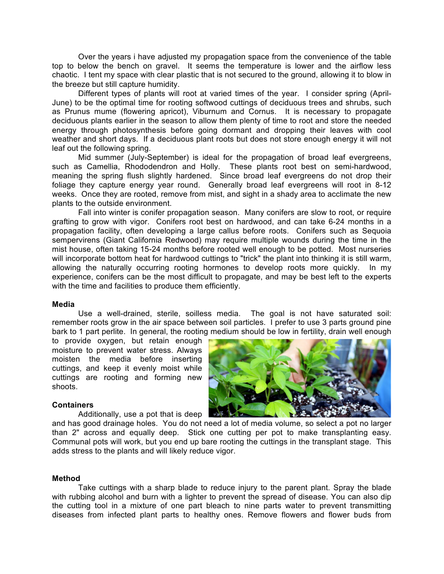Over the years i have adjusted my propagation space from the convenience of the table top to below the bench on gravel. It seems the temperature is lower and the airflow less chaotic. I tent my space with clear plastic that is not secured to the ground, allowing it to blow in the breeze but still capture humidity.

Different types of plants will root at varied times of the year. I consider spring (April-June) to be the optimal time for rooting softwood cuttings of deciduous trees and shrubs, such as Prunus mume (flowering apricot), Viburnum and Cornus. It is necessary to propagate deciduous plants earlier in the season to allow them plenty of time to root and store the needed energy through photosynthesis before going dormant and dropping their leaves with cool weather and short days. If a deciduous plant roots but does not store enough energy it will not leaf out the following spring.

Mid summer (July-September) is ideal for the propagation of broad leaf evergreens, such as Camellia, Rhododendron and Holly. These plants root best on semi-hardwood, meaning the spring flush slightly hardened. Since broad leaf evergreens do not drop their foliage they capture energy year round. Generally broad leaf evergreens will root in 8-12 weeks. Once they are rooted, remove from mist, and sight in a shady area to acclimate the new plants to the outside environment.

Fall into winter is conifer propagation season. Many conifers are slow to root, or require grafting to grow with vigor. Conifers root best on hardwood, and can take 6-24 months in a propagation facility, often developing a large callus before roots. Conifers such as Sequoia sempervirens (Giant California Redwood) may require multiple wounds during the time in the mist house, often taking 15-24 months before rooted well enough to be potted. Most nurseries will incorporate bottom heat for hardwood cuttings to "trick" the plant into thinking it is still warm, allowing the naturally occurring rooting hormones to develop roots more quickly. In my experience, conifers can be the most difficult to propagate, and may be best left to the experts with the time and facilities to produce them efficiently.

#### **Media**

Use a well-drained, sterile, soilless media. The goal is not have saturated soil: remember roots grow in the air space between soil particles. I prefer to use 3 parts ground pine bark to 1 part perlite. In general, the rooting medium should be low in fertility, drain well enough

to provide oxygen, but retain enough moisture to prevent water stress. Always moisten the media before inserting cuttings, and keep it evenly moist while cuttings are rooting and forming new shoots.



#### **Containers**

Additionally, use a pot that is deep

and has good drainage holes. You do not need a lot of media volume, so select a pot no larger than 2" across and equally deep. Stick one cutting per pot to make transplanting easy. Communal pots will work, but you end up bare rooting the cuttings in the transplant stage. This adds stress to the plants and will likely reduce vigor.

### **Method**

Take cuttings with a sharp blade to reduce injury to the parent plant. Spray the blade with rubbing alcohol and burn with a lighter to prevent the spread of disease. You can also dip the cutting tool in a mixture of one part bleach to nine parts water to prevent transmitting diseases from infected plant parts to healthy ones. Remove flowers and flower buds from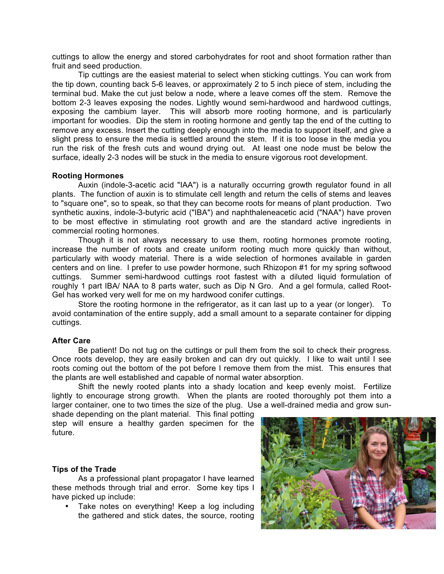cuttings to allow the energy and stored carbohydrates for root and shoot formation rather than fruit and seed production.

Tip cuttings are the easiest material to select when sticking cuttings. You can work from the tip down, counting back 5-6 leaves, or approximately 2 to 5 inch piece of stem, including the terminal bud. Make the cut just below a node, where a leave comes off the stem. Remove the bottom 2-3 leaves exposing the nodes. Lightly wound semi-hardwood and hardwood cuttings, exposing the cambium layer. This will absorb more rooting hormone, and is particularly important for woodies. Dip the stem in rooting hormone and gently tap the end of the cutting to remove any excess. Insert the cutting deeply enough into the media to support itself, and give a slight press to ensure the media is settled around the stem. If it is too loose in the media you run the risk of the fresh cuts and wound drying out. At least one node must be below the surface, ideally 2-3 nodes will be stuck in the media to ensure vigorous root development.

# **Rooting Hormones**

Auxin (indole-3-acetic acid "IAA") is a naturally occurring growth regulator found in all plants. The function of auxin is to stimulate cell length and return the cells of stems and leaves to "square one", so to speak, so that they can become roots for means of plant production. Two synthetic auxins, indole-3-butyric acid ("IBA") and naphthaleneacetic acid ("NAA") have proven to be most effective in stimulating root growth and are the standard active ingredients in commercial rooting hormones.

Though it is not always necessary to use them, rooting hormones promote rooting, increase the number of roots and create uniform rooting much more quickly than without, particularly with woody material. There is a wide selection of hormones available in garden centers and on line. I prefer to use powder hormone, such Rhizopon #1 for my spring softwood cuttings. Summer semi-hardwood cuttings root fastest with a diluted liquid formulation of roughly 1 part IBA/ NAA to 8 parts water, such as Dip N Gro. And a gel formula, called Root-Gel has worked very well for me on my hardwood conifer cuttings.

Store the rooting hormone in the refrigerator, as it can last up to a year (or longer). To avoid contamination of the entire supply, add a small amount to a separate container for dipping cuttings.

# **After Care**

Be patient! Do not tug on the cuttings or pull them from the soil to check their progress. Once roots develop, they are easily broken and can dry out quickly. I like to wait until I see roots coming out the bottom of the pot before I remove them from the mist. This ensures that the plants are well established and capable of normal water absorption.

Shift the newly rooted plants into a shady location and keep evenly moist. Fertilize lightly to encourage strong growth. When the plants are rooted thoroughly pot them into a larger container, one to two times the size of the plug. Use a well-drained media and grow sun-

shade depending on the plant material. This final potting step will ensure a healthy garden specimen for the future.

# **Tips of the Trade**

As a professional plant propagator I have learned these methods through trial and error. Some key tips I have picked up include:

Take notes on everything! Keep a log including the gathered and stick dates, the source, rooting